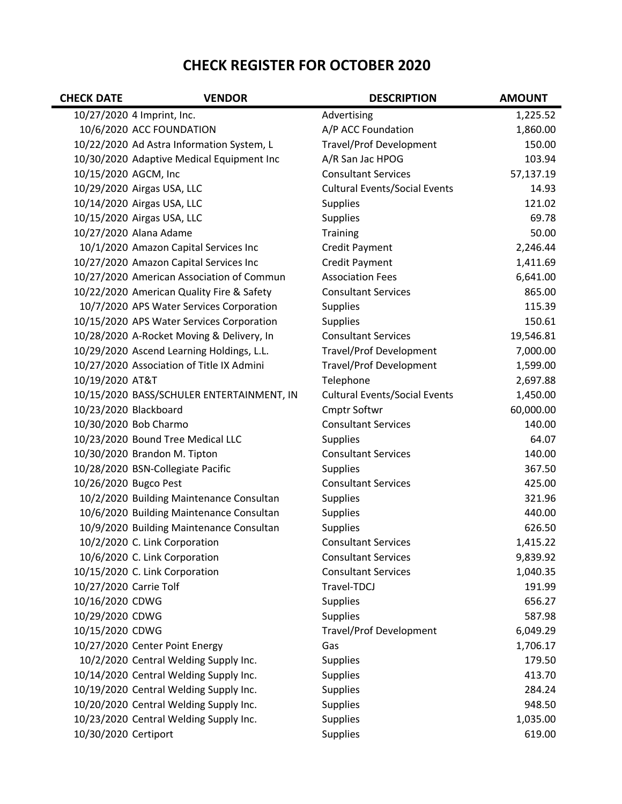## CHECK REGISTER FOR OCTOBER 2020

| <b>CHECK DATE</b>      | <b>VENDOR</b>                             | <b>DESCRIPTION</b>                   | <b>AMOUNT</b> |
|------------------------|-------------------------------------------|--------------------------------------|---------------|
|                        | 10/27/2020 4 Imprint, Inc.                | Advertising                          | 1,225.52      |
|                        | 10/6/2020 ACC FOUNDATION                  | A/P ACC Foundation                   | 1,860.00      |
|                        | 10/22/2020 Ad Astra Information System, L | <b>Travel/Prof Development</b>       | 150.00        |
|                        | 10/30/2020 Adaptive Medical Equipment Inc | A/R San Jac HPOG                     | 103.94        |
| 10/15/2020 AGCM, Inc   |                                           | <b>Consultant Services</b>           | 57,137.19     |
|                        | 10/29/2020 Airgas USA, LLC                | <b>Cultural Events/Social Events</b> | 14.93         |
|                        | 10/14/2020 Airgas USA, LLC                | <b>Supplies</b>                      | 121.02        |
|                        | 10/15/2020 Airgas USA, LLC                | <b>Supplies</b>                      | 69.78         |
|                        | 10/27/2020 Alana Adame                    | Training                             | 50.00         |
|                        | 10/1/2020 Amazon Capital Services Inc     | Credit Payment                       | 2,246.44      |
|                        | 10/27/2020 Amazon Capital Services Inc    | Credit Payment                       | 1,411.69      |
|                        | 10/27/2020 American Association of Commun | <b>Association Fees</b>              | 6,641.00      |
|                        | 10/22/2020 American Quality Fire & Safety | <b>Consultant Services</b>           | 865.00        |
|                        | 10/7/2020 APS Water Services Corporation  | <b>Supplies</b>                      | 115.39        |
|                        | 10/15/2020 APS Water Services Corporation | <b>Supplies</b>                      | 150.61        |
|                        | 10/28/2020 A-Rocket Moving & Delivery, In | <b>Consultant Services</b>           | 19,546.81     |
|                        | 10/29/2020 Ascend Learning Holdings, L.L. | <b>Travel/Prof Development</b>       | 7,000.00      |
|                        | 10/27/2020 Association of Title IX Admini | <b>Travel/Prof Development</b>       | 1,599.00      |
| 10/19/2020 AT&T        |                                           | Telephone                            | 2,697.88      |
|                        | 10/15/2020 BASS/SCHULER ENTERTAINMENT, IN | <b>Cultural Events/Social Events</b> | 1,450.00      |
| 10/23/2020 Blackboard  |                                           | Cmptr Softwr                         | 60,000.00     |
|                        | 10/30/2020 Bob Charmo                     | <b>Consultant Services</b>           | 140.00        |
|                        | 10/23/2020 Bound Tree Medical LLC         | <b>Supplies</b>                      | 64.07         |
|                        | 10/30/2020 Brandon M. Tipton              | <b>Consultant Services</b>           | 140.00        |
|                        | 10/28/2020 BSN-Collegiate Pacific         | <b>Supplies</b>                      | 367.50        |
| 10/26/2020 Bugco Pest  |                                           | <b>Consultant Services</b>           | 425.00        |
|                        | 10/2/2020 Building Maintenance Consultan  | <b>Supplies</b>                      | 321.96        |
|                        | 10/6/2020 Building Maintenance Consultan  | <b>Supplies</b>                      | 440.00        |
|                        | 10/9/2020 Building Maintenance Consultan  | <b>Supplies</b>                      | 626.50        |
|                        | 10/2/2020 C. Link Corporation             | <b>Consultant Services</b>           | 1,415.22      |
|                        | 10/6/2020 C. Link Corporation             | <b>Consultant Services</b>           | 9,839.92      |
|                        | 10/15/2020 C. Link Corporation            | <b>Consultant Services</b>           | 1,040.35      |
| 10/27/2020 Carrie Tolf |                                           | Travel-TDCJ                          | 191.99        |
| 10/16/2020 CDWG        |                                           | <b>Supplies</b>                      | 656.27        |
| 10/29/2020 CDWG        |                                           | <b>Supplies</b>                      | 587.98        |
| 10/15/2020 CDWG        |                                           | <b>Travel/Prof Development</b>       | 6,049.29      |
|                        | 10/27/2020 Center Point Energy            | Gas                                  | 1,706.17      |
|                        | 10/2/2020 Central Welding Supply Inc.     | <b>Supplies</b>                      | 179.50        |
|                        | 10/14/2020 Central Welding Supply Inc.    | <b>Supplies</b>                      | 413.70        |
|                        | 10/19/2020 Central Welding Supply Inc.    | <b>Supplies</b>                      | 284.24        |
|                        | 10/20/2020 Central Welding Supply Inc.    | Supplies                             | 948.50        |
|                        | 10/23/2020 Central Welding Supply Inc.    | Supplies                             | 1,035.00      |
| 10/30/2020 Certiport   |                                           | <b>Supplies</b>                      | 619.00        |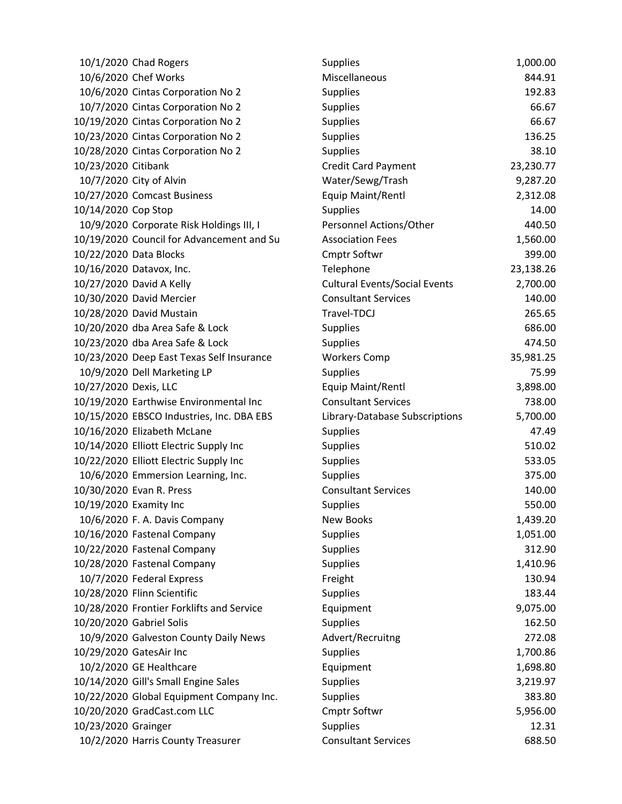|                        | 10/1/2020 Chad Rogers                     | <b>Supplies</b>                      | 1,000.00  |
|------------------------|-------------------------------------------|--------------------------------------|-----------|
|                        | 10/6/2020 Chef Works                      | Miscellaneous                        | 844.91    |
|                        | 10/6/2020 Cintas Corporation No 2         | <b>Supplies</b>                      | 192.83    |
|                        | 10/7/2020 Cintas Corporation No 2         | <b>Supplies</b>                      | 66.67     |
|                        | 10/19/2020 Cintas Corporation No 2        | <b>Supplies</b>                      | 66.67     |
|                        | 10/23/2020 Cintas Corporation No 2        | <b>Supplies</b>                      | 136.25    |
|                        | 10/28/2020 Cintas Corporation No 2        | <b>Supplies</b>                      | 38.10     |
| 10/23/2020 Citibank    |                                           | Credit Card Payment                  | 23,230.77 |
|                        | 10/7/2020 City of Alvin                   | Water/Sewg/Trash                     | 9,287.20  |
|                        | 10/27/2020 Comcast Business               | Equip Maint/Rentl                    | 2,312.08  |
| 10/14/2020 Cop Stop    |                                           | <b>Supplies</b>                      | 14.00     |
|                        | 10/9/2020 Corporate Risk Holdings III, I  | Personnel Actions/Other              | 440.50    |
|                        | 10/19/2020 Council for Advancement and Su | <b>Association Fees</b>              | 1,560.00  |
|                        | 10/22/2020 Data Blocks                    | <b>Cmptr Softwr</b>                  | 399.00    |
|                        | 10/16/2020 Datavox, Inc.                  | Telephone                            | 23,138.26 |
|                        | 10/27/2020 David A Kelly                  | <b>Cultural Events/Social Events</b> | 2,700.00  |
|                        | 10/30/2020 David Mercier                  | <b>Consultant Services</b>           | 140.00    |
|                        | 10/28/2020 David Mustain                  | Travel-TDCJ                          | 265.65    |
|                        | 10/20/2020 dba Area Safe & Lock           | <b>Supplies</b>                      | 686.00    |
|                        | 10/23/2020 dba Area Safe & Lock           | <b>Supplies</b>                      | 474.50    |
|                        | 10/23/2020 Deep East Texas Self Insurance | <b>Workers Comp</b>                  | 35,981.25 |
|                        | 10/9/2020 Dell Marketing LP               | <b>Supplies</b>                      | 75.99     |
| 10/27/2020 Dexis, LLC  |                                           | Equip Maint/Rentl                    | 3,898.00  |
|                        | 10/19/2020 Earthwise Environmental Inc    | <b>Consultant Services</b>           | 738.00    |
|                        | 10/15/2020 EBSCO Industries, Inc. DBA EBS | Library-Database Subscriptions       | 5,700.00  |
|                        | 10/16/2020 Elizabeth McLane               | <b>Supplies</b>                      | 47.49     |
|                        | 10/14/2020 Elliott Electric Supply Inc    | <b>Supplies</b>                      | 510.02    |
|                        | 10/22/2020 Elliott Electric Supply Inc    | <b>Supplies</b>                      | 533.05    |
|                        | 10/6/2020 Emmersion Learning, Inc.        | <b>Supplies</b>                      | 375.00    |
|                        | 10/30/2020 Evan R. Press                  | <b>Consultant Services</b>           | 140.00    |
| 10/19/2020 Examity Inc |                                           | <b>Supplies</b>                      | 550.00    |
|                        | 10/6/2020 F. A. Davis Company             | <b>New Books</b>                     | 1,439.20  |
|                        | 10/16/2020 Fastenal Company               | <b>Supplies</b>                      | 1,051.00  |
|                        | 10/22/2020 Fastenal Company               | <b>Supplies</b>                      | 312.90    |
|                        | 10/28/2020 Fastenal Company               | <b>Supplies</b>                      | 1,410.96  |
|                        | 10/7/2020 Federal Express                 | Freight                              | 130.94    |
|                        | 10/28/2020 Flinn Scientific               | <b>Supplies</b>                      | 183.44    |
|                        | 10/28/2020 Frontier Forklifts and Service | Equipment                            | 9,075.00  |
|                        | 10/20/2020 Gabriel Solis                  | <b>Supplies</b>                      | 162.50    |
|                        | 10/9/2020 Galveston County Daily News     | Advert/Recruitng                     | 272.08    |
|                        | 10/29/2020 GatesAir Inc                   | <b>Supplies</b>                      | 1,700.86  |
|                        | 10/2/2020 GE Healthcare                   | Equipment                            | 1,698.80  |
|                        | 10/14/2020 Gill's Small Engine Sales      | <b>Supplies</b>                      | 3,219.97  |
|                        | 10/22/2020 Global Equipment Company Inc.  | <b>Supplies</b>                      | 383.80    |
|                        | 10/20/2020 GradCast.com LLC               | <b>Cmptr Softwr</b>                  | 5,956.00  |
| 10/23/2020 Grainger    |                                           | <b>Supplies</b>                      | 12.31     |
|                        | 10/2/2020 Harris County Treasurer         | <b>Consultant Services</b>           | 688.50    |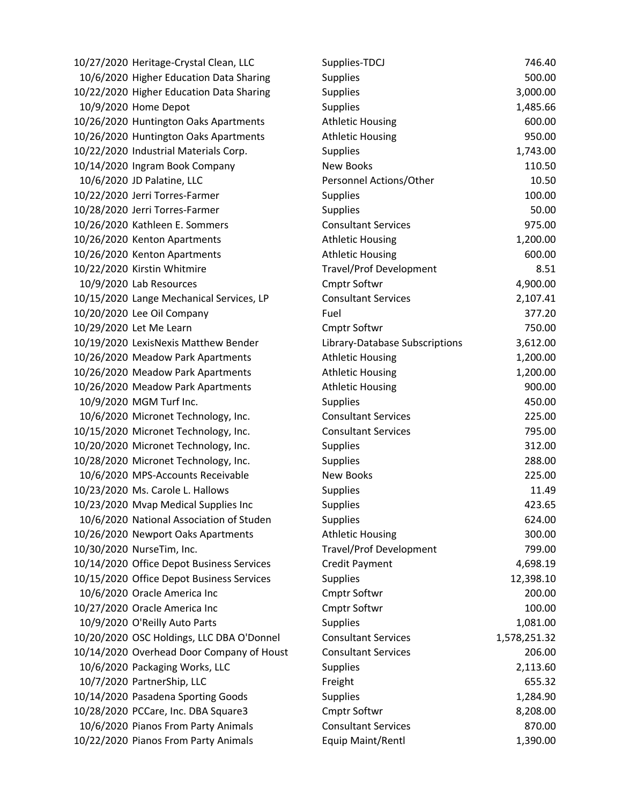10/27/2020 Heritage-Crystal Clean, LLC 10/6/2020 Higher Education Data Sharing 10/22/2020 Higher Education Data Sharing 10/9/2020 Home Depot 10/26/2020 Huntington Oaks Apartments 10/26/2020 Huntington Oaks Apartments 10/22/2020 Industrial Materials Corp. 10/14/2020 Ingram Book Company 10/6/2020 JD Palatine, LLC 10/22/2020 Jerri Torres-Farmer 10/28/2020 Jerri Torres-Farmer 10/26/2020 Kathleen E. Sommers 10/26/2020 Kenton Apartments 10/26/2020 Kenton Apartments 10/22/2020 Kirstin Whitmire  $10/9/2020$  Lab Resources 10/15/2020 Lange Mechanical Services, LP 10/20/2020 Lee Oil Company 10/29/2020 Let Me Learn 10/19/2020 LexisNexis Matthew Bender 10/26/2020 Meadow Park Apartments 10/26/2020 Meadow Park Apartments 10/26/2020 Meadow Park Apartments 10/9/2020 MGM Turf Inc. 10/6/2020 Micronet Technology, Inc. 10/15/2020 Micronet Technology, Inc. 10/20/2020 Micronet Technology, Inc. 10/28/2020 Micronet Technology, Inc. 10/6/2020 MPS-Accounts Receivable 10/23/2020 Ms. Carole L. Hallows 10/23/2020 Mvap Medical Supplies Inc 10/6/2020 National Association of Studen 10/26/2020 Newport Oaks Apartments 10/30/2020 NurseTim, Inc. 10/14/2020 Office Depot Business Services 10/15/2020 Office Depot Business Services 10/6/2020 Oracle America Inc 10/27/2020 Oracle America Inc 10/9/2020 O'Reilly Auto Parts 10/20/2020 OSC Holdings, LLC DBA O'Donnel 10/14/2020 Overhead Door Company of Houst  $10/6/2020$  Packaging Works, LLC 10/7/2020 PartnerShip, LLC 10/14/2020 Pasadena Sporting Goods 10/28/2020 PCCare, Inc. DBA Square3 10/6/2020 Pianos From Party Animals 10/22/2020 Pianos From Party Animals

| Supplies-TDCJ                  | 746.40       |
|--------------------------------|--------------|
| <b>Supplies</b>                | 500.00       |
| <b>Supplies</b>                | 3,000.00     |
| <b>Supplies</b>                | 1,485.66     |
| <b>Athletic Housing</b>        | 600.00       |
| <b>Athletic Housing</b>        | 950.00       |
| Supplies                       | 1,743.00     |
| <b>New Books</b>               | 110.50       |
| Personnel Actions/Other        | 10.50        |
| <b>Supplies</b>                | 100.00       |
| <b>Supplies</b>                | 50.00        |
| <b>Consultant Services</b>     | 975.00       |
| <b>Athletic Housing</b>        | 1,200.00     |
| <b>Athletic Housing</b>        | 600.00       |
| <b>Travel/Prof Development</b> | 8.51         |
| <b>Cmptr Softwr</b>            | 4,900.00     |
| <b>Consultant Services</b>     | 2,107.41     |
| Fuel                           | 377.20       |
| <b>Cmptr Softwr</b>            | 750.00       |
| Library-Database Subscriptions | 3,612.00     |
| <b>Athletic Housing</b>        | 1,200.00     |
| <b>Athletic Housing</b>        | 1,200.00     |
| <b>Athletic Housing</b>        | 900.00       |
| <b>Supplies</b>                | 450.00       |
| <b>Consultant Services</b>     | 225.00       |
| <b>Consultant Services</b>     | 795.00       |
| <b>Supplies</b>                | 312.00       |
| <b>Supplies</b>                | 288.00       |
| <b>New Books</b>               | 225.00       |
| Supplies                       | 11.49        |
| Supplies                       | 423.65       |
| <b>Supplies</b>                | 624.00       |
| <b>Athletic Housing</b>        | 300.00       |
| <b>Travel/Prof Development</b> | 799.00       |
| <b>Credit Payment</b>          | 4,698.19     |
| <b>Supplies</b>                | 12,398.10    |
| <b>Cmptr Softwr</b>            | 200.00       |
| <b>Cmptr Softwr</b>            | 100.00       |
| <b>Supplies</b>                | 1,081.00     |
| <b>Consultant Services</b>     | 1,578,251.32 |
| <b>Consultant Services</b>     | 206.00       |
| <b>Supplies</b>                | 2,113.60     |
| Freight                        | 655.32       |
| <b>Supplies</b>                | 1,284.90     |
| <b>Cmptr Softwr</b>            | 8,208.00     |
| <b>Consultant Services</b>     | 870.00       |
| Equip Maint/Rentl              | 1,390.00     |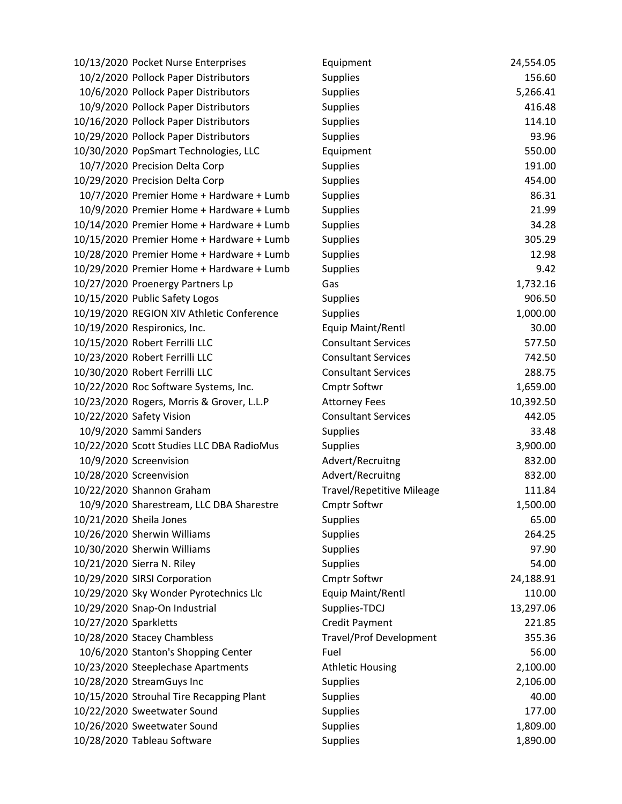|                       | 10/13/2020 Pocket Nurse Enterprises       | Equipment                        | 24,554.05 |
|-----------------------|-------------------------------------------|----------------------------------|-----------|
|                       | 10/2/2020 Pollock Paper Distributors      | <b>Supplies</b>                  | 156.60    |
|                       | 10/6/2020 Pollock Paper Distributors      | <b>Supplies</b>                  | 5,266.41  |
|                       | 10/9/2020 Pollock Paper Distributors      | Supplies                         | 416.48    |
|                       | 10/16/2020 Pollock Paper Distributors     | <b>Supplies</b>                  | 114.10    |
|                       | 10/29/2020 Pollock Paper Distributors     | <b>Supplies</b>                  | 93.96     |
|                       | 10/30/2020 PopSmart Technologies, LLC     | Equipment                        | 550.00    |
|                       | 10/7/2020 Precision Delta Corp            | Supplies                         | 191.00    |
|                       | 10/29/2020 Precision Delta Corp           | <b>Supplies</b>                  | 454.00    |
|                       | 10/7/2020 Premier Home + Hardware + Lumb  | <b>Supplies</b>                  | 86.31     |
|                       | 10/9/2020 Premier Home + Hardware + Lumb  | Supplies                         | 21.99     |
|                       | 10/14/2020 Premier Home + Hardware + Lumb | <b>Supplies</b>                  | 34.28     |
|                       | 10/15/2020 Premier Home + Hardware + Lumb | <b>Supplies</b>                  | 305.29    |
|                       | 10/28/2020 Premier Home + Hardware + Lumb | Supplies                         | 12.98     |
|                       | 10/29/2020 Premier Home + Hardware + Lumb | <b>Supplies</b>                  | 9.42      |
|                       | 10/27/2020 Proenergy Partners Lp          | Gas                              | 1,732.16  |
|                       | 10/15/2020 Public Safety Logos            | <b>Supplies</b>                  | 906.50    |
|                       | 10/19/2020 REGION XIV Athletic Conference | <b>Supplies</b>                  | 1,000.00  |
|                       | 10/19/2020 Respironics, Inc.              | Equip Maint/Rentl                | 30.00     |
|                       | 10/15/2020 Robert Ferrilli LLC            | <b>Consultant Services</b>       | 577.50    |
|                       | 10/23/2020 Robert Ferrilli LLC            | <b>Consultant Services</b>       | 742.50    |
|                       | 10/30/2020 Robert Ferrilli LLC            | <b>Consultant Services</b>       | 288.75    |
|                       | 10/22/2020 Roc Software Systems, Inc.     | <b>Cmptr Softwr</b>              | 1,659.00  |
|                       | 10/23/2020 Rogers, Morris & Grover, L.L.P | <b>Attorney Fees</b>             | 10,392.50 |
|                       | 10/22/2020 Safety Vision                  | <b>Consultant Services</b>       | 442.05    |
|                       | 10/9/2020 Sammi Sanders                   | Supplies                         | 33.48     |
|                       | 10/22/2020 Scott Studies LLC DBA RadioMus | <b>Supplies</b>                  | 3,900.00  |
|                       | 10/9/2020 Screenvision                    | Advert/Recruitng                 | 832.00    |
|                       | 10/28/2020 Screenvision                   | Advert/Recruitng                 | 832.00    |
|                       | 10/22/2020 Shannon Graham                 | <b>Travel/Repetitive Mileage</b> | 111.84    |
|                       | 10/9/2020 Sharestream, LLC DBA Sharestre  | <b>Cmptr Softwr</b>              | 1,500.00  |
|                       | 10/21/2020 Sheila Jones                   | <b>Supplies</b>                  | 65.00     |
|                       | 10/26/2020 Sherwin Williams               | <b>Supplies</b>                  | 264.25    |
|                       | 10/30/2020 Sherwin Williams               | Supplies                         | 97.90     |
|                       | 10/21/2020 Sierra N. Riley                | Supplies                         | 54.00     |
|                       | 10/29/2020 SIRSI Corporation              | Cmptr Softwr                     | 24,188.91 |
|                       | 10/29/2020 Sky Wonder Pyrotechnics Llc    | Equip Maint/Rentl                | 110.00    |
|                       | 10/29/2020 Snap-On Industrial             | Supplies-TDCJ                    | 13,297.06 |
| 10/27/2020 Sparkletts |                                           | <b>Credit Payment</b>            | 221.85    |
|                       | 10/28/2020 Stacey Chambless               | <b>Travel/Prof Development</b>   | 355.36    |
|                       | 10/6/2020 Stanton's Shopping Center       | Fuel                             | 56.00     |
|                       | 10/23/2020 Steeplechase Apartments        | <b>Athletic Housing</b>          | 2,100.00  |
|                       | 10/28/2020 StreamGuys Inc                 | <b>Supplies</b>                  | 2,106.00  |
|                       | 10/15/2020 Strouhal Tire Recapping Plant  | <b>Supplies</b>                  | 40.00     |
|                       | 10/22/2020 Sweetwater Sound               | <b>Supplies</b>                  | 177.00    |
|                       | 10/26/2020 Sweetwater Sound               | <b>Supplies</b>                  | 1,809.00  |
|                       | 10/28/2020 Tableau Software               | Supplies                         | 1,890.00  |